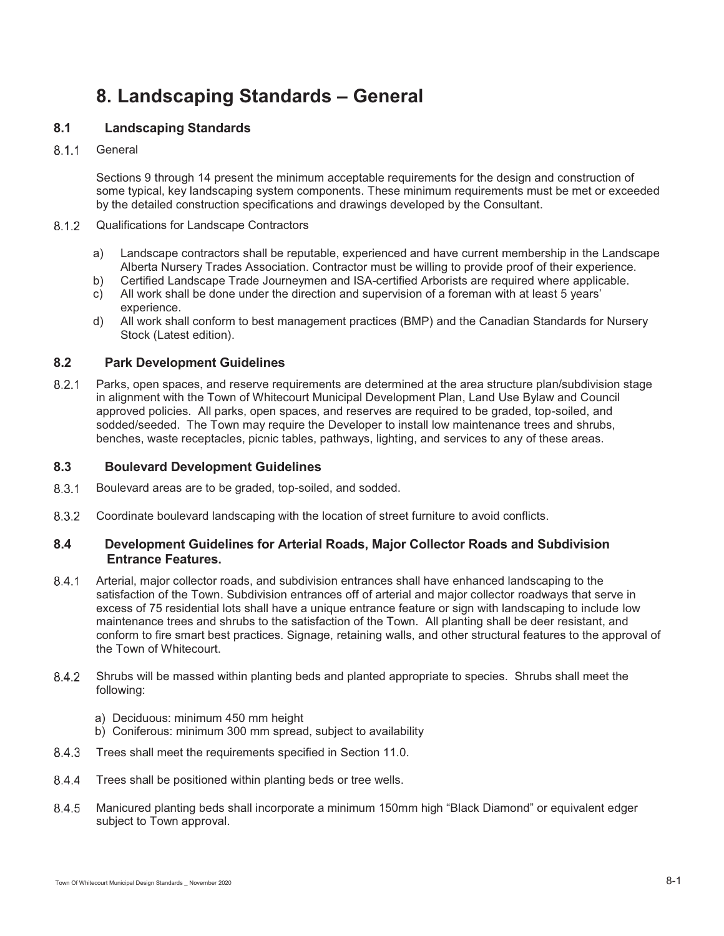# **8. Landscaping Standards – General**

# **8.1 Landscaping Standards**

8.1.1 General

Sections 9 through 14 present the minimum acceptable requirements for the design and construction of some typical, key landscaping system components. These minimum requirements must be met or exceeded by the detailed construction specifications and drawings developed by the Consultant.

## 8.1.2 Qualifications for Landscape Contractors

- a) Landscape contractors shall be reputable, experienced and have current membership in the Landscape Alberta Nursery Trades Association. Contractor must be willing to provide proof of their experience.
- b) Certified Landscape Trade Journeymen and ISA-certified Arborists are required where applicable. c) All work shall be done under the direction and supervision of a foreman with at least 5 years'
- experience.
- d) All work shall conform to best management practices (BMP) and the Canadian Standards for Nursery Stock (Latest edition).

## **8.2 Park Development Guidelines**

8.2.1 Parks, open spaces, and reserve requirements are determined at the area structure plan/subdivision stage in alignment with the Town of Whitecourt Municipal Development Plan, Land Use Bylaw and Council approved policies. All parks, open spaces, and reserves are required to be graded, top-soiled, and sodded/seeded. The Town may require the Developer to install low maintenance trees and shrubs, benches, waste receptacles, picnic tables, pathways, lighting, and services to any of these areas.

## **8.3 Boulevard Development Guidelines**

- 8.3.1 Boulevard areas are to be graded, top-soiled, and sodded.
- Coordinate boulevard landscaping with the location of street furniture to avoid conflicts.

## **8.4 Development Guidelines for Arterial Roads, Major Collector Roads and Subdivision Entrance Features.**

- Arterial, major collector roads, and subdivision entrances shall have enhanced landscaping to the satisfaction of the Town. Subdivision entrances off of arterial and major collector roadways that serve in excess of 75 residential lots shall have a unique entrance feature or sign with landscaping to include low maintenance trees and shrubs to the satisfaction of the Town. All planting shall be deer resistant, and conform to fire smart best practices. Signage, retaining walls, and other structural features to the approval of the Town of Whitecourt.
- Shrubs will be massed within planting beds and planted appropriate to species. Shrubs shall meet the following:
	- a) Deciduous: minimum 450 mm height
	- b) Coniferous: minimum 300 mm spread, subject to availability
- 8.4.3 Trees shall meet the requirements specified in Section 11.0.
- 8.4.4 Trees shall be positioned within planting beds or tree wells.
- Manicured planting beds shall incorporate a minimum 150mm high "Black Diamond" or equivalent edger subject to Town approval.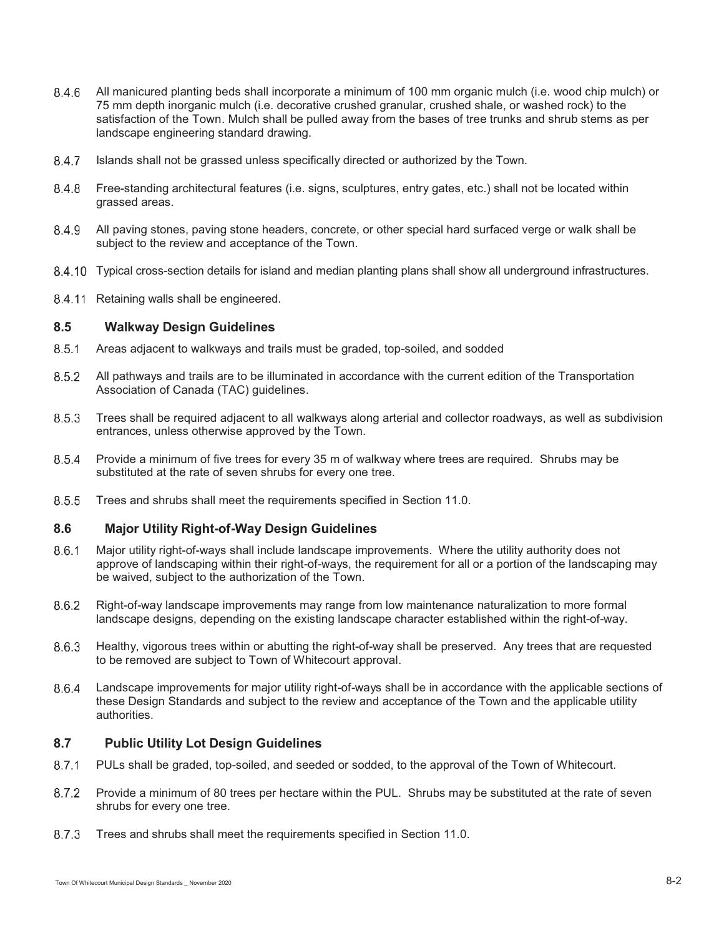- All manicured planting beds shall incorporate a minimum of 100 mm organic mulch (i.e. wood chip mulch) or 75 mm depth inorganic mulch (i.e. decorative crushed granular, crushed shale, or washed rock) to the satisfaction of the Town. Mulch shall be pulled away from the bases of tree trunks and shrub stems as per landscape engineering standard drawing.
- 8.4.7 Islands shall not be grassed unless specifically directed or authorized by the Town.
- Free-standing architectural features (i.e. signs, sculptures, entry gates, etc.) shall not be located within grassed areas.
- All paving stones, paving stone headers, concrete, or other special hard surfaced verge or walk shall be subject to the review and acceptance of the Town.
- Typical cross-section details for island and median planting plans shall show all underground infrastructures.
- 8.4.11 Retaining walls shall be engineered.

### **8.5 Walkway Design Guidelines**

- Areas adjacent to walkways and trails must be graded, top-soiled, and sodded
- 8.5.2 All pathways and trails are to be illuminated in accordance with the current edition of the Transportation Association of Canada (TAC) guidelines.
- Trees shall be required adjacent to all walkways along arterial and collector roadways, as well as subdivision entrances, unless otherwise approved by the Town.
- 8.5.4 Provide a minimum of five trees for every 35 m of walkway where trees are required. Shrubs may be substituted at the rate of seven shrubs for every one tree.
- 8.5.5 Trees and shrubs shall meet the requirements specified in Section 11.0.

### **8.6 Major Utility Right-of-Way Design Guidelines**

- 8.6.1 Major utility right-of-ways shall include landscape improvements. Where the utility authority does not approve of landscaping within their right-of-ways, the requirement for all or a portion of the landscaping may be waived, subject to the authorization of the Town.
- Right-of-way landscape improvements may range from low maintenance naturalization to more formal landscape designs, depending on the existing landscape character established within the right-of-way.
- 8.6.3 Healthy, vigorous trees within or abutting the right-of-way shall be preserved. Any trees that are requested to be removed are subject to Town of Whitecourt approval.
- Landscape improvements for major utility right-of-ways shall be in accordance with the applicable sections of these Design Standards and subject to the review and acceptance of the Town and the applicable utility authorities.

## **8.7 Public Utility Lot Design Guidelines**

- 8.7.1 PULs shall be graded, top-soiled, and seeded or sodded, to the approval of the Town of Whitecourt.
- 8.7.2 Provide a minimum of 80 trees per hectare within the PUL. Shrubs may be substituted at the rate of seven shrubs for every one tree.
- 8.7.3 Trees and shrubs shall meet the requirements specified in Section 11.0.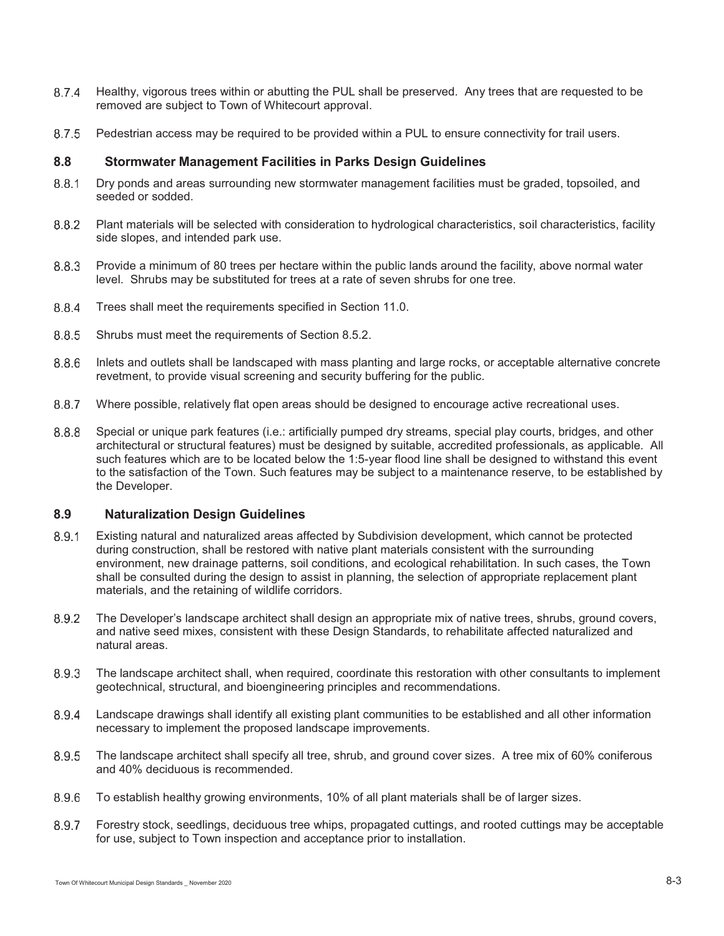- 8.7.4 Healthy, vigorous trees within or abutting the PUL shall be preserved. Any trees that are requested to be removed are subject to Town of Whitecourt approval.
- 8.7.5 Pedestrian access may be required to be provided within a PUL to ensure connectivity for trail users.

# **8.8 Stormwater Management Facilities in Parks Design Guidelines**

- 8.8.1 Dry ponds and areas surrounding new stormwater management facilities must be graded, topsoiled, and seeded or sodded.
- Plant materials will be selected with consideration to hydrological characteristics, soil characteristics, facility side slopes, and intended park use.
- 8.8.3 Provide a minimum of 80 trees per hectare within the public lands around the facility, above normal water level. Shrubs may be substituted for trees at a rate of seven shrubs for one tree.
- 8.8.4 Trees shall meet the requirements specified in Section 11.0.
- 8.8.5 Shrubs must meet the requirements of Section 8.5.2.
- 8.8.6 Inlets and outlets shall be landscaped with mass planting and large rocks, or acceptable alternative concrete revetment, to provide visual screening and security buffering for the public.
- 8.8.7 Where possible, relatively flat open areas should be designed to encourage active recreational uses.
- 8.8.8 Special or unique park features (i.e.: artificially pumped dry streams, special play courts, bridges, and other architectural or structural features) must be designed by suitable, accredited professionals, as applicable. All such features which are to be located below the 1:5-year flood line shall be designed to withstand this event to the satisfaction of the Town. Such features may be subject to a maintenance reserve, to be established by the Developer.

# **8.9 Naturalization Design Guidelines**

- Existing natural and naturalized areas affected by Subdivision development, which cannot be protected during construction, shall be restored with native plant materials consistent with the surrounding environment, new drainage patterns, soil conditions, and ecological rehabilitation. In such cases, the Town shall be consulted during the design to assist in planning, the selection of appropriate replacement plant materials, and the retaining of wildlife corridors.
- 8.9.2 The Developer's landscape architect shall design an appropriate mix of native trees, shrubs, ground covers, and native seed mixes, consistent with these Design Standards, to rehabilitate affected naturalized and natural areas.
- The landscape architect shall, when required, coordinate this restoration with other consultants to implement geotechnical, structural, and bioengineering principles and recommendations.
- Landscape drawings shall identify all existing plant communities to be established and all other information necessary to implement the proposed landscape improvements.
- The landscape architect shall specify all tree, shrub, and ground cover sizes. A tree mix of 60% coniferous and 40% deciduous is recommended.
- To establish healthy growing environments, 10% of all plant materials shall be of larger sizes.
- Forestry stock, seedlings, deciduous tree whips, propagated cuttings, and rooted cuttings may be acceptable for use, subject to Town inspection and acceptance prior to installation.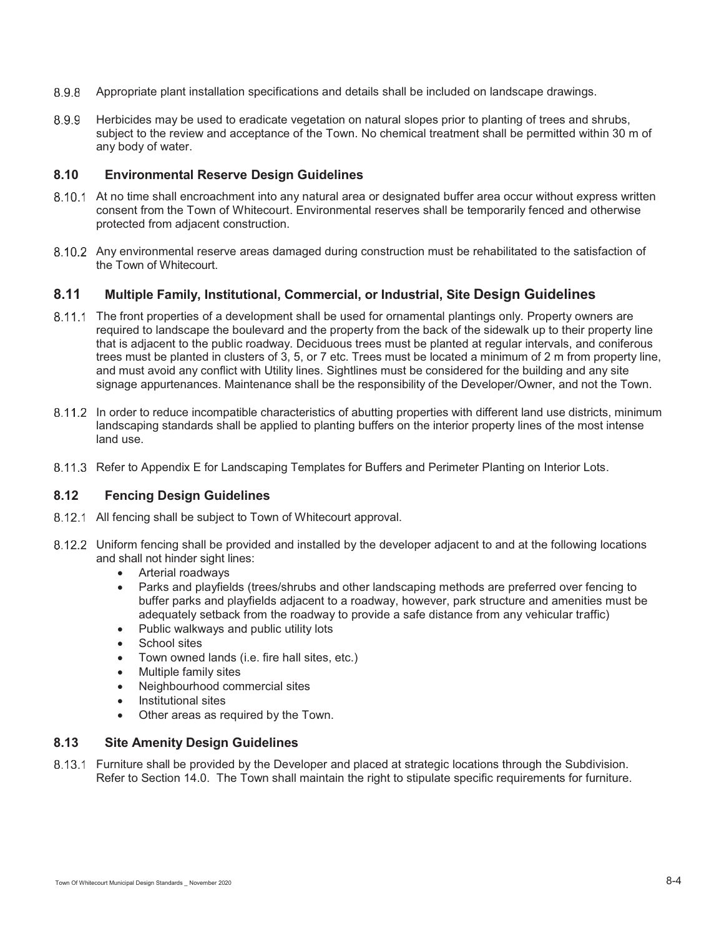- Appropriate plant installation specifications and details shall be included on landscape drawings.
- 8.9.9 Herbicides may be used to eradicate vegetation on natural slopes prior to planting of trees and shrubs, subject to the review and acceptance of the Town. No chemical treatment shall be permitted within 30 m of any body of water.

## **8.10 Environmental Reserve Design Guidelines**

- At no time shall encroachment into any natural area or designated buffer area occur without express written consent from the Town of Whitecourt. Environmental reserves shall be temporarily fenced and otherwise protected from adjacent construction.
- 8.10.2 Any environmental reserve areas damaged during construction must be rehabilitated to the satisfaction of the Town of Whitecourt.

# **8.11 Multiple Family, Institutional, Commercial, or Industrial, Site Design Guidelines**

- 8.11.1 The front properties of a development shall be used for ornamental plantings only. Property owners are required to landscape the boulevard and the property from the back of the sidewalk up to their property line that is adjacent to the public roadway. Deciduous trees must be planted at regular intervals, and coniferous trees must be planted in clusters of 3, 5, or 7 etc. Trees must be located a minimum of 2 m from property line, and must avoid any conflict with Utility lines. Sightlines must be considered for the building and any site signage appurtenances. Maintenance shall be the responsibility of the Developer/Owner, and not the Town.
- 8.11.2 In order to reduce incompatible characteristics of abutting properties with different land use districts, minimum landscaping standards shall be applied to planting buffers on the interior property lines of the most intense land use.
- 8.11.3 Refer to Appendix E for Landscaping Templates for Buffers and Perimeter Planting on Interior Lots.

### **8.12 Fencing Design Guidelines**

- 8.12.1 All fencing shall be subject to Town of Whitecourt approval.
- 8.12.2 Uniform fencing shall be provided and installed by the developer adjacent to and at the following locations and shall not hinder sight lines:
	- -Arterial roadways
	- - Parks and playfields (trees/shrubs and other landscaping methods are preferred over fencing to buffer parks and playfields adjacent to a roadway, however, park structure and amenities must be adequately setback from the roadway to provide a safe distance from any vehicular traffic)
	- $\bullet$ Public walkways and public utility lots
	- -School sites
	- -Town owned lands (i.e. fire hall sites, etc.)
	- -Multiple family sites
	- -Neighbourhood commercial sites
	- -Institutional sites
	- -Other areas as required by the Town.

## **8.13 Site Amenity Design Guidelines**

 Furniture shall be provided by the Developer and placed at strategic locations through the Subdivision. Refer to Section 14.0. The Town shall maintain the right to stipulate specific requirements for furniture.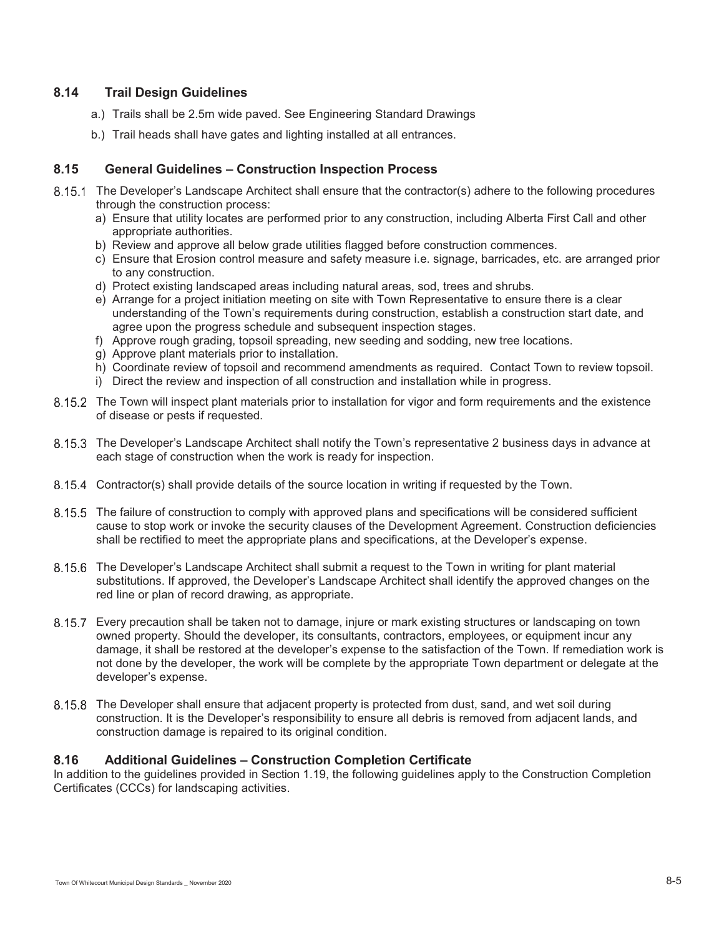# **8.14 Trail Design Guidelines**

- a.) Trails shall be 2.5m wide paved. See Engineering Standard Drawings
- b.) Trail heads shall have gates and lighting installed at all entrances.

# **8.15 General Guidelines – Construction Inspection Process**

- 8.15.1 The Developer's Landscape Architect shall ensure that the contractor(s) adhere to the following procedures through the construction process:
	- a) Ensure that utility locates are performed prior to any construction, including Alberta First Call and other appropriate authorities.
	- b) Review and approve all below grade utilities flagged before construction commences.
	- c) Ensure that Erosion control measure and safety measure i.e. signage, barricades, etc. are arranged prior to any construction.
	- d) Protect existing landscaped areas including natural areas, sod, trees and shrubs.
	- e) Arrange for a project initiation meeting on site with Town Representative to ensure there is a clear understanding of the Town's requirements during construction, establish a construction start date, and agree upon the progress schedule and subsequent inspection stages.
	- f) Approve rough grading, topsoil spreading, new seeding and sodding, new tree locations.
	- g) Approve plant materials prior to installation.
	- h) Coordinate review of topsoil and recommend amendments as required. Contact Town to review topsoil.
	- i) Direct the review and inspection of all construction and installation while in progress.
- 8.15.2 The Town will inspect plant materials prior to installation for vigor and form requirements and the existence of disease or pests if requested.
- 8.15.3 The Developer's Landscape Architect shall notify the Town's representative 2 business days in advance at each stage of construction when the work is ready for inspection.
- 8.15.4 Contractor(s) shall provide details of the source location in writing if requested by the Town.
- 8.15.5 The failure of construction to comply with approved plans and specifications will be considered sufficient cause to stop work or invoke the security clauses of the Development Agreement. Construction deficiencies shall be rectified to meet the appropriate plans and specifications, at the Developer's expense.
- 8.15.6 The Developer's Landscape Architect shall submit a request to the Town in writing for plant material substitutions. If approved, the Developer's Landscape Architect shall identify the approved changes on the red line or plan of record drawing, as appropriate.
- Every precaution shall be taken not to damage, injure or mark existing structures or landscaping on town owned property. Should the developer, its consultants, contractors, employees, or equipment incur any damage, it shall be restored at the developer's expense to the satisfaction of the Town. If remediation work is not done by the developer, the work will be complete by the appropriate Town department or delegate at the developer's expense.
- 8.15.8 The Developer shall ensure that adjacent property is protected from dust, sand, and wet soil during construction. It is the Developer's responsibility to ensure all debris is removed from adjacent lands, and construction damage is repaired to its original condition.

# **8.16 Additional Guidelines – Construction Completion Certificate**

In addition to the guidelines provided in Section 1.19, the following guidelines apply to the Construction Completion Certificates (CCCs) for landscaping activities.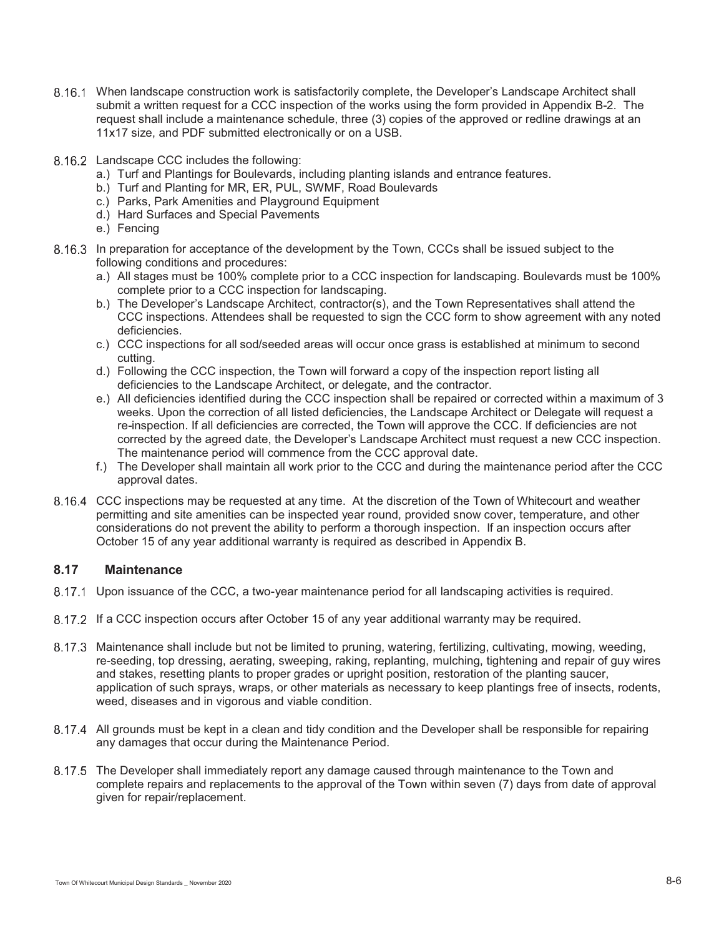- When landscape construction work is satisfactorily complete, the Developer's Landscape Architect shall submit a written request for a CCC inspection of the works using the form provided in Appendix B-2. The request shall include a maintenance schedule, three (3) copies of the approved or redline drawings at an 11x17 size, and PDF submitted electronically or on a USB.
- 8.16.2 Landscape CCC includes the following:
	- a.) Turf and Plantings for Boulevards, including planting islands and entrance features.
	- b.) Turf and Planting for MR, ER, PUL, SWMF, Road Boulevards
	- c.) Parks, Park Amenities and Playground Equipment
	- d.) Hard Surfaces and Special Pavements
	- e.) Fencing
- 8.16.3 In preparation for acceptance of the development by the Town, CCCs shall be issued subject to the following conditions and procedures:
	- a.) All stages must be 100% complete prior to a CCC inspection for landscaping. Boulevards must be 100% complete prior to a CCC inspection for landscaping.
	- b.) The Developer's Landscape Architect, contractor(s), and the Town Representatives shall attend the CCC inspections. Attendees shall be requested to sign the CCC form to show agreement with any noted deficiencies.
	- c.) CCC inspections for all sod/seeded areas will occur once grass is established at minimum to second cutting.
	- d.) Following the CCC inspection, the Town will forward a copy of the inspection report listing all deficiencies to the Landscape Architect, or delegate, and the contractor.
	- e.) All deficiencies identified during the CCC inspection shall be repaired or corrected within a maximum of 3 weeks. Upon the correction of all listed deficiencies, the Landscape Architect or Delegate will request a re-inspection. If all deficiencies are corrected, the Town will approve the CCC. If deficiencies are not corrected by the agreed date, the Developer's Landscape Architect must request a new CCC inspection. The maintenance period will commence from the CCC approval date.
	- f.) The Developer shall maintain all work prior to the CCC and during the maintenance period after the CCC approval dates.
- CCC inspections may be requested at any time. At the discretion of the Town of Whitecourt and weather permitting and site amenities can be inspected year round, provided snow cover, temperature, and other considerations do not prevent the ability to perform a thorough inspection. If an inspection occurs after October 15 of any year additional warranty is required as described in Appendix B.

# **8.17 Maintenance**

- 8.17.1 Upon issuance of the CCC, a two-year maintenance period for all landscaping activities is required.
- 8.17.2 If a CCC inspection occurs after October 15 of any year additional warranty may be required.
- Maintenance shall include but not be limited to pruning, watering, fertilizing, cultivating, mowing, weeding, re-seeding, top dressing, aerating, sweeping, raking, replanting, mulching, tightening and repair of guy wires and stakes, resetting plants to proper grades or upright position, restoration of the planting saucer, application of such sprays, wraps, or other materials as necessary to keep plantings free of insects, rodents, weed, diseases and in vigorous and viable condition.
- All grounds must be kept in a clean and tidy condition and the Developer shall be responsible for repairing any damages that occur during the Maintenance Period.
- The Developer shall immediately report any damage caused through maintenance to the Town and complete repairs and replacements to the approval of the Town within seven (7) days from date of approval given for repair/replacement.